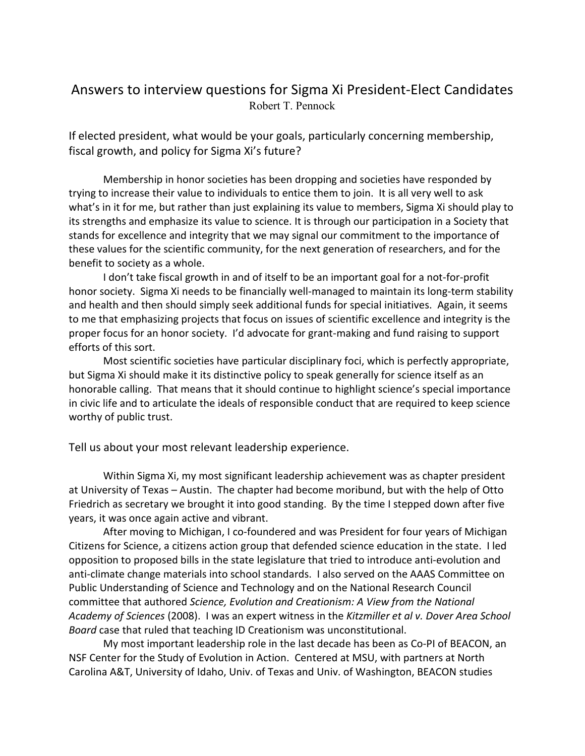## Answers to interview questions for Sigma Xi President-Elect Candidates Robert T. Pennock

If elected president, what would be your goals, particularly concerning membership, fiscal growth, and policy for Sigma Xi's future?

Membership in honor societies has been dropping and societies have responded by trying to increase their value to individuals to entice them to join. It is all very well to ask what's in it for me, but rather than just explaining its value to members, Sigma Xi should play to its strengths and emphasize its value to science. It is through our participation in a Society that stands for excellence and integrity that we may signal our commitment to the importance of these values for the scientific community, for the next generation of researchers, and for the benefit to society as a whole.

I don't take fiscal growth in and of itself to be an important goal for a not-for-profit honor society. Sigma Xi needs to be financially well-managed to maintain its long-term stability and health and then should simply seek additional funds for special initiatives. Again, it seems to me that emphasizing projects that focus on issues of scientific excellence and integrity is the proper focus for an honor society. I'd advocate for grant-making and fund raising to support efforts of this sort.

Most scientific societies have particular disciplinary foci, which is perfectly appropriate, but Sigma Xi should make it its distinctive policy to speak generally for science itself as an honorable calling. That means that it should continue to highlight science's special importance in civic life and to articulate the ideals of responsible conduct that are required to keep science worthy of public trust.

Tell us about your most relevant leadership experience.

Within Sigma Xi, my most significant leadership achievement was as chapter president at University of Texas – Austin. The chapter had become moribund, but with the help of Otto Friedrich as secretary we brought it into good standing. By the time I stepped down after five years, it was once again active and vibrant.

After moving to Michigan, I co-foundered and was President for four years of Michigan Citizens for Science, a citizens action group that defended science education in the state. I led opposition to proposed bills in the state legislature that tried to introduce anti-evolution and anti-climate change materials into school standards. I also served on the AAAS Committee on Public Understanding of Science and Technology and on the National Research Council committee that authored *Science, Evolution and Creationism: A View from the National Academy of Sciences* (2008). I was an expert witness in the *Kitzmiller et al v. Dover Area School Board* case that ruled that teaching ID Creationism was unconstitutional.

My most important leadership role in the last decade has been as Co-PI of BEACON, an NSF Center for the Study of Evolution in Action. Centered at MSU, with partners at North Carolina A&T, University of Idaho, Univ. of Texas and Univ. of Washington, BEACON studies